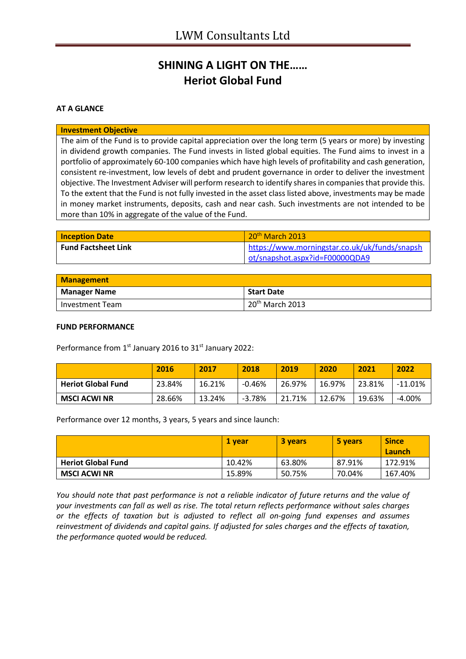## **SHINING A LIGHT ON THE…… Heriot Global Fund**

### **AT A GLANCE**

#### **Investment Objective**

The aim of the Fund is to provide capital appreciation over the long term (5 years or more) by investing in dividend growth companies. The Fund invests in listed global equities. The Fund aims to invest in a portfolio of approximately 60-100 companies which have high levels of profitability and cash generation, consistent re-investment, low levels of debt and prudent governance in order to deliver the investment objective. The Investment Adviser will perform research to identify shares in companies that provide this. To the extent that the Fund is not fully invested in the asset class listed above, investments may be made in money market instruments, deposits, cash and near cash. Such investments are not intended to be more than 10% in aggregate of the value of the Fund.

| <b>Inception Date</b>      | $20th$ March 2013                             |
|----------------------------|-----------------------------------------------|
| <b>Fund Factsheet Link</b> | https://www.morningstar.co.uk/uk/funds/snapsh |
|                            | ot/snapshot.aspx?id=F00000QDA9                |

| <b>Management</b>   |                   |
|---------------------|-------------------|
| <b>Manager Name</b> | <b>Start Date</b> |
| l Investment Team   | $20th$ March 2013 |

#### **FUND PERFORMANCE**

Performance from 1<sup>st</sup> January 2016 to 31<sup>st</sup> January 2022:

|                           | 2016   | 2017   | 2018     | 2019   | 2020   | 2021   | 2022       |
|---------------------------|--------|--------|----------|--------|--------|--------|------------|
| <b>Heriot Global Fund</b> | 23.84% | 16.21% | -0.46%   | 26.97% | 16.97% | 23.81% | $-11.01\%$ |
| <b>MSCI ACWI NR</b>       | 28.66% | 13.24% | $-3.78%$ | 21.71% | 12.67% | 19.63% | -4.00%     |

Performance over 12 months, 3 years, 5 years and since launch:

|                           | 1 vear | <b>3 years</b> | 5 years | <b>Since</b><br>Launch |
|---------------------------|--------|----------------|---------|------------------------|
| <b>Heriot Global Fund</b> | 10.42% | 63.80%         | 87.91%  | 172.91%                |
| <b>MSCI ACWI NR</b>       | 15.89% | 50.75%         | 70.04%  | 167.40%                |

*You should note that past performance is not a reliable indicator of future returns and the value of your investments can fall as well as rise. The total return reflects performance without sales charges or the effects of taxation but is adjusted to reflect all on-going fund expenses and assumes reinvestment of dividends and capital gains. If adjusted for sales charges and the effects of taxation, the performance quoted would be reduced.*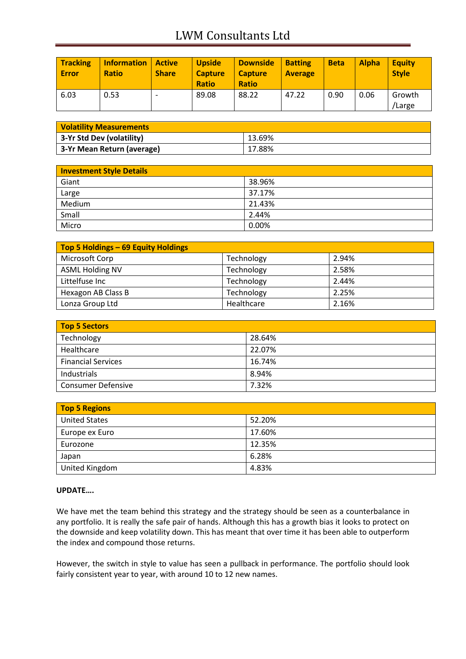# LWM Consultants Ltd

| <b>Tracking</b><br><b>Error</b> | <b>Information</b><br><b>Ratio</b> | <b>Active</b><br><b>Share</b> | <b>Upside</b><br><b>Capture</b><br><b>Ratio</b> | <b>Downside</b><br><b>Capture</b><br><b>Ratio</b> | <b>Batting</b><br><b>Average</b> | <b>Beta</b> | <b>Alpha</b> | <b>Equity</b><br><b>Style</b> |
|---------------------------------|------------------------------------|-------------------------------|-------------------------------------------------|---------------------------------------------------|----------------------------------|-------------|--------------|-------------------------------|
| 6.03                            | 0.53                               |                               | 89.08                                           | 88.22                                             | 47.22                            | 0.90        | 0.06         | Growth<br>/Large              |

| <b>Volatility Measurements</b> |        |
|--------------------------------|--------|
| 3-Yr Std Dev (volatility)      | 13.69% |
| 3-Yr Mean Return (average)     | 17.88% |

| <b>Investment Style Details</b> |        |
|---------------------------------|--------|
| Giant                           | 38.96% |
| Large                           | 37.17% |
| Medium                          | 21.43% |
| Small                           | 2.44%  |
| Micro                           | 0.00%  |

| Top 5 Holdings - 69 Equity Holdings |            |       |
|-------------------------------------|------------|-------|
| Microsoft Corp                      | Technology | 2.94% |
| <b>ASML Holding NV</b>              | Technology | 2.58% |
| Littelfuse Inc                      | Technology | 2.44% |
| Hexagon AB Class B                  | Technology | 2.25% |
| Lonza Group Ltd                     | Healthcare | 2.16% |

| <b>Top 5 Sectors</b>      |        |
|---------------------------|--------|
| Technology                | 28.64% |
| Healthcare                | 22.07% |
| <b>Financial Services</b> | 16.74% |
| Industrials               | 8.94%  |
| <b>Consumer Defensive</b> | 7.32%  |

| <b>Top 5 Regions</b> |        |
|----------------------|--------|
| <b>United States</b> | 52.20% |
| Europe ex Euro       | 17.60% |
| Eurozone             | 12.35% |
| Japan                | 6.28%  |
| United Kingdom       | 4.83%  |

## **UPDATE….**

We have met the team behind this strategy and the strategy should be seen as a counterbalance in any portfolio. It is really the safe pair of hands. Although this has a growth bias it looks to protect on the downside and keep volatility down. This has meant that over time it has been able to outperform the index and compound those returns.

However, the switch in style to value has seen a pullback in performance. The portfolio should look fairly consistent year to year, with around 10 to 12 new names.